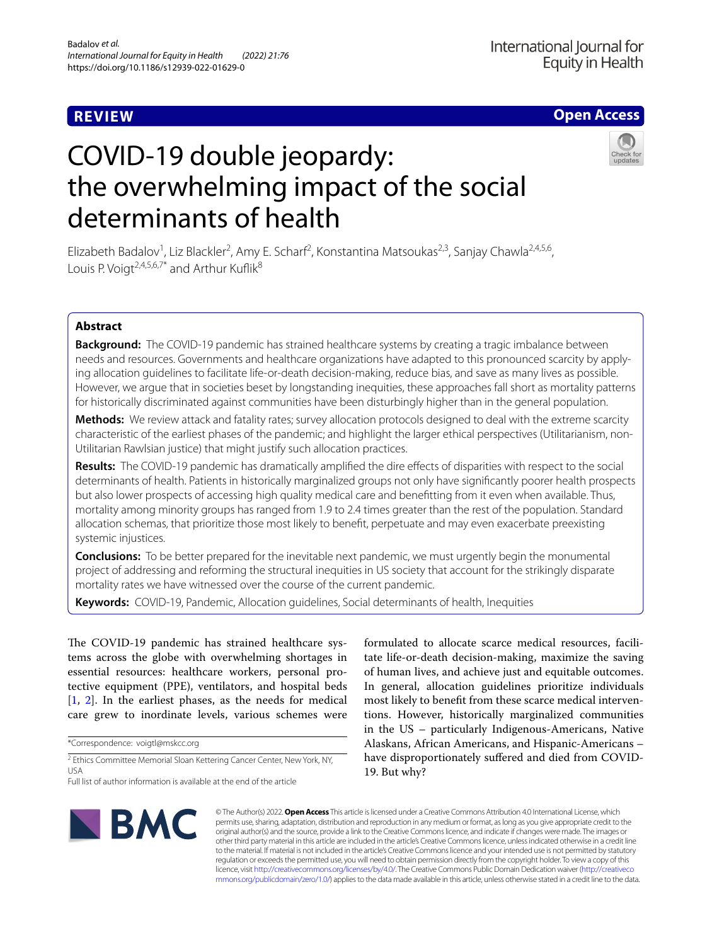## **REVIEW**

**Open Access**

# COVID-19 double jeopardy: the overwhelming impact of the social determinants of health



Elizabeth Badalov<sup>1</sup>, Liz Blackler<sup>2</sup>, Amy E. Scharf<sup>2</sup>, Konstantina Matsoukas<sup>2,3</sup>, Sanjay Chawla<sup>2,4,5,6</sup>, Louis P. Voigt<sup>2,4,5,6,7\*</sup> and Arthur Kuflik<sup>8</sup>

## **Abstract**

**Background:** The COVID-19 pandemic has strained healthcare systems by creating a tragic imbalance between needs and resources. Governments and healthcare organizations have adapted to this pronounced scarcity by applying allocation guidelines to facilitate life-or-death decision-making, reduce bias, and save as many lives as possible. However, we argue that in societies beset by longstanding inequities, these approaches fall short as mortality patterns for historically discriminated against communities have been disturbingly higher than in the general population.

**Methods:** We review attack and fatality rates; survey allocation protocols designed to deal with the extreme scarcity characteristic of the earliest phases of the pandemic; and highlight the larger ethical perspectives (Utilitarianism, non-Utilitarian Rawlsian justice) that might justify such allocation practices.

**Results:** The COVID-19 pandemic has dramatically amplifed the dire efects of disparities with respect to the social determinants of health. Patients in historically marginalized groups not only have signifcantly poorer health prospects but also lower prospects of accessing high quality medical care and beneftting from it even when available. Thus, mortality among minority groups has ranged from 1.9 to 2.4 times greater than the rest of the population. Standard allocation schemas, that prioritize those most likely to beneft, perpetuate and may even exacerbate preexisting systemic injustices.

**Conclusions:** To be better prepared for the inevitable next pandemic, we must urgently begin the monumental project of addressing and reforming the structural inequities in US society that account for the strikingly disparate mortality rates we have witnessed over the course of the current pandemic.

**Keywords:** COVID-19, Pandemic, Allocation guidelines, Social determinants of health, Inequities

The COVID-19 pandemic has strained healthcare systems across the globe with overwhelming shortages in essential resources: healthcare workers, personal protective equipment (PPE), ventilators, and hospital beds  $[1, 2]$  $[1, 2]$  $[1, 2]$  $[1, 2]$  $[1, 2]$ . In the earliest phases, as the needs for medical care grew to inordinate levels, various schemes were

\*Correspondence: voigtl@mskcc.org

<sup>2</sup> Ethics Committee Memorial Sloan Kettering Cancer Center, New York, NY, USA

Full list of author information is available at the end of the article

formulated to allocate scarce medical resources, facilitate life-or-death decision-making, maximize the saving of human lives, and achieve just and equitable outcomes. In general, allocation guidelines prioritize individuals most likely to beneft from these scarce medical interventions. However, historically marginalized communities in the US – particularly Indigenous-Americans, Native Alaskans, African Americans, and Hispanic-Americans – have disproportionately sufered and died from COVID-19. But why?



© The Author(s) 2022. **Open Access** This article is licensed under a Creative Commons Attribution 4.0 International License, which permits use, sharing, adaptation, distribution and reproduction in any medium or format, as long as you give appropriate credit to the original author(s) and the source, provide a link to the Creative Commons licence, and indicate if changes were made. The images or other third party material in this article are included in the article's Creative Commons licence, unless indicated otherwise in a credit line to the material. If material is not included in the article's Creative Commons licence and your intended use is not permitted by statutory regulation or exceeds the permitted use, you will need to obtain permission directly from the copyright holder. To view a copy of this licence, visit [http://creativecommons.org/licenses/by/4.0/.](http://creativecommons.org/licenses/by/4.0/) The Creative Commons Public Domain Dedication waiver ([http://creativeco](http://creativecommons.org/publicdomain/zero/1.0/) [mmons.org/publicdomain/zero/1.0/](http://creativecommons.org/publicdomain/zero/1.0/)) applies to the data made available in this article, unless otherwise stated in a credit line to the data.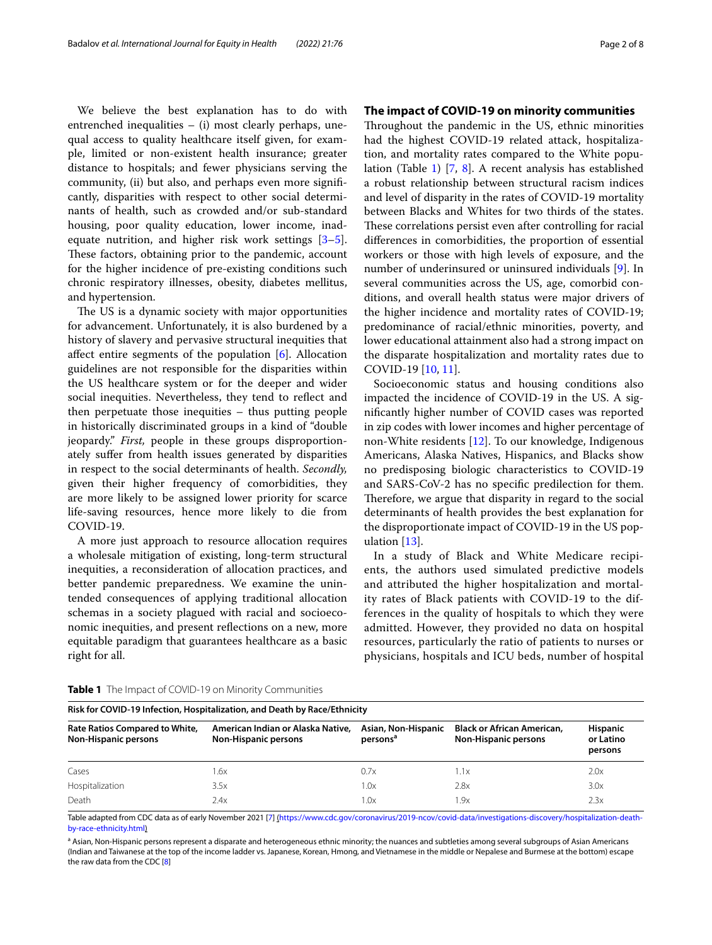We believe the best explanation has to do with entrenched inequalities – (i) most clearly perhaps, unequal access to quality healthcare itself given, for example, limited or non-existent health insurance; greater distance to hospitals; and fewer physicians serving the community, (ii) but also, and perhaps even more signifcantly, disparities with respect to other social determinants of health, such as crowded and/or sub-standard housing, poor quality education, lower income, inadequate nutrition, and higher risk work settings [\[3](#page-6-2)[–5](#page-6-3)]. These factors, obtaining prior to the pandemic, account for the higher incidence of pre-existing conditions such chronic respiratory illnesses, obesity, diabetes mellitus, and hypertension.

The US is a dynamic society with major opportunities for advancement. Unfortunately, it is also burdened by a history of slavery and pervasive structural inequities that afect entire segments of the population [[6\]](#page-6-4). Allocation guidelines are not responsible for the disparities within the US healthcare system or for the deeper and wider social inequities. Nevertheless, they tend to refect and then perpetuate those inequities – thus putting people in historically discriminated groups in a kind of "double jeopardy." *First,* people in these groups disproportionately sufer from health issues generated by disparities in respect to the social determinants of health. *Secondly,* given their higher frequency of comorbidities, they are more likely to be assigned lower priority for scarce life-saving resources, hence more likely to die from COVID-19.

A more just approach to resource allocation requires a wholesale mitigation of existing, long-term structural inequities, a reconsideration of allocation practices, and better pandemic preparedness. We examine the unintended consequences of applying traditional allocation schemas in a society plagued with racial and socioeconomic inequities, and present refections on a new, more equitable paradigm that guarantees healthcare as a basic right for all.

## **The impact of COVID‑19 on minority communities**

Throughout the pandemic in the US, ethnic minorities had the highest COVID-19 related attack, hospitalization, and mortality rates compared to the White population (Table [1\)](#page-1-0) [[7,](#page-6-5) [8\]](#page-6-6). A recent analysis has established a robust relationship between structural racism indices and level of disparity in the rates of COVID-19 mortality between Blacks and Whites for two thirds of the states. These correlations persist even after controlling for racial diferences in comorbidities, the proportion of essential workers or those with high levels of exposure, and the number of underinsured or uninsured individuals [[9](#page-6-7)]. In several communities across the US, age, comorbid conditions, and overall health status were major drivers of the higher incidence and mortality rates of COVID-19; predominance of racial/ethnic minorities, poverty, and lower educational attainment also had a strong impact on the disparate hospitalization and mortality rates due to COVID-19 [[10](#page-6-8), [11\]](#page-6-9).

Socioeconomic status and housing conditions also impacted the incidence of COVID-19 in the US. A signifcantly higher number of COVID cases was reported in zip codes with lower incomes and higher percentage of non-White residents [\[12](#page-6-10)]. To our knowledge, Indigenous Americans, Alaska Natives, Hispanics, and Blacks show no predisposing biologic characteristics to COVID-19 and SARS-CoV-2 has no specifc predilection for them. Therefore, we argue that disparity in regard to the social determinants of health provides the best explanation for the disproportionate impact of COVID-19 in the US population [\[13\]](#page-6-11).

In a study of Black and White Medicare recipients, the authors used simulated predictive models and attributed the higher hospitalization and mortality rates of Black patients with COVID-19 to the differences in the quality of hospitals to which they were admitted. However, they provided no data on hospital resources, particularly the ratio of patients to nurses or physicians, hospitals and ICU beds, number of hospital

| Risk for COVID-19 Infection, Hospitalization, and Death by Race/Ethnicity |                                                                  |                                             |                                                                  |                                         |  |  |  |  |  |
|---------------------------------------------------------------------------|------------------------------------------------------------------|---------------------------------------------|------------------------------------------------------------------|-----------------------------------------|--|--|--|--|--|
| Rate Ratios Compared to White,<br>Non-Hispanic persons                    | American Indian or Alaska Native,<br><b>Non-Hispanic persons</b> | Asian, Non-Hispanic<br>persons <sup>a</sup> | <b>Black or African American,</b><br><b>Non-Hispanic persons</b> | <b>Hispanic</b><br>or Latino<br>persons |  |  |  |  |  |
| Cases                                                                     | .6х                                                              | 0.7x                                        | 1.1x                                                             | 2.0x                                    |  |  |  |  |  |
| Hospitalization                                                           | 3.5x                                                             | 1.0x                                        | 2.8x                                                             | 3.0x                                    |  |  |  |  |  |
| Death                                                                     | 2.4x                                                             | $\Lambda$ . $\Lambda$                       | 1.9x                                                             | 2.3x                                    |  |  |  |  |  |

<span id="page-1-0"></span>**Table 1** The Impact of COVID-19 on Minority Communities

Table adapted from CDC data as of early November 2021 [[7](#page-6-5)] ([https://www.cdc.gov/coronavirus/2019-ncov/covid-data/investigations-discovery/hospitalization-death](https://www.cdc.gov/coronavirus/2019-ncov/covid-data/investigations-discovery/hospitalization-death-by-race-ethnicity.html)[by-race-ethnicity.html](https://www.cdc.gov/coronavirus/2019-ncov/covid-data/investigations-discovery/hospitalization-death-by-race-ethnicity.html))

<sup>a</sup> Asian, Non-Hispanic persons represent a disparate and heterogeneous ethnic minority; the nuances and subtleties among several subgroups of Asian Americans (Indian and Taiwanese at the top of the income ladder vs. Japanese, Korean, Hmong, and Vietnamese in the middle or Nepalese and Burmese at the bottom) escape the raw data from the CDC [\[8](#page-6-6)]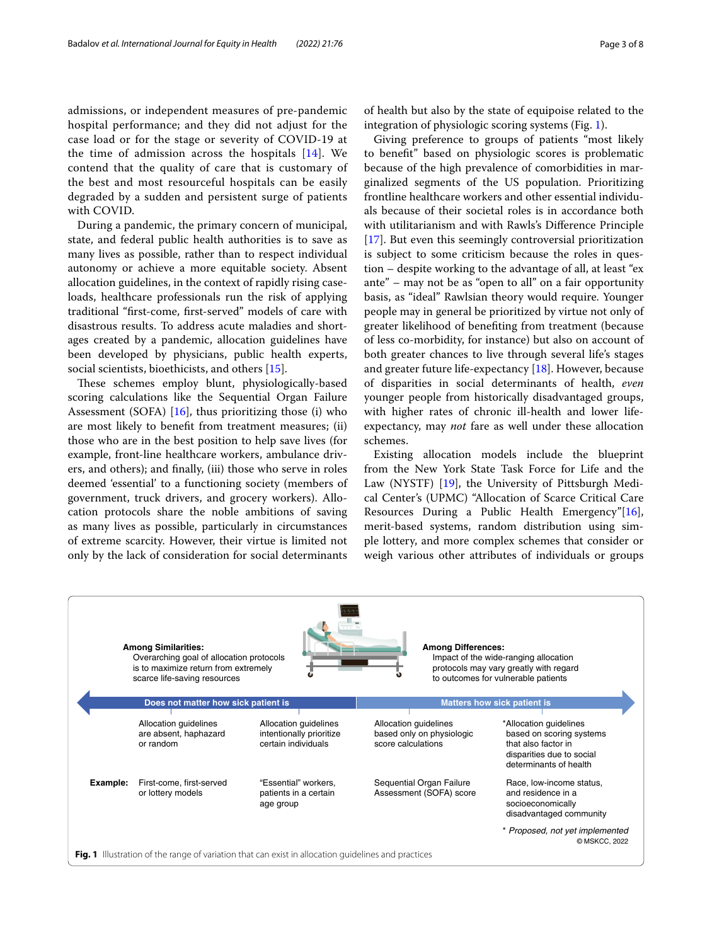admissions, or independent measures of pre-pandemic hospital performance; and they did not adjust for the case load or for the stage or severity of COVID-19 at the time of admission across the hospitals [[14](#page-6-12)]. We contend that the quality of care that is customary of the best and most resourceful hospitals can be easily degraded by a sudden and persistent surge of patients with COVID.

During a pandemic, the primary concern of municipal, state, and federal public health authorities is to save as many lives as possible, rather than to respect individual autonomy or achieve a more equitable society. Absent allocation guidelines, in the context of rapidly rising caseloads, healthcare professionals run the risk of applying traditional "frst-come, frst-served" models of care with disastrous results. To address acute maladies and shortages created by a pandemic, allocation guidelines have been developed by physicians, public health experts, social scientists, bioethicists, and others [\[15](#page-6-13)].

These schemes employ blunt, physiologically-based scoring calculations like the Sequential Organ Failure Assessment (SOFA)  $[16]$  $[16]$  $[16]$ , thus prioritizing those (i) who are most likely to beneft from treatment measures; (ii) those who are in the best position to help save lives (for example, front-line healthcare workers, ambulance drivers, and others); and fnally, (iii) those who serve in roles deemed 'essential' to a functioning society (members of government, truck drivers, and grocery workers). Allocation protocols share the noble ambitions of saving as many lives as possible, particularly in circumstances of extreme scarcity. However, their virtue is limited not only by the lack of consideration for social determinants

of health but also by the state of equipoise related to the integration of physiologic scoring systems (Fig. [1\)](#page-2-0).

Giving preference to groups of patients "most likely to beneft" based on physiologic scores is problematic because of the high prevalence of comorbidities in marginalized segments of the US population. Prioritizing frontline healthcare workers and other essential individuals because of their societal roles is in accordance both with utilitarianism and with Rawls's Diference Principle [[17\]](#page-6-15). But even this seemingly controversial prioritization is subject to some criticism because the roles in question – despite working to the advantage of all, at least "ex ante" – may not be as "open to all" on a fair opportunity basis, as "ideal" Rawlsian theory would require. Younger people may in general be prioritized by virtue not only of greater likelihood of benefting from treatment (because of less co-morbidity, for instance) but also on account of both greater chances to live through several life's stages and greater future life-expectancy  $[18]$  $[18]$ . However, because of disparities in social determinants of health, *even* younger people from historically disadvantaged groups, with higher rates of chronic ill-health and lower lifeexpectancy, may *not* fare as well under these allocation schemes.

Existing allocation models include the blueprint from the New York State Task Force for Life and the Law (NYSTF) [[19](#page-6-17)], the University of Pittsburgh Medical Center's (UPMC) "Allocation of Scarce Critical Care Resources During a Public Health Emergency"[\[16](#page-6-14)], merit-based systems, random distribution using simple lottery, and more complex schemes that consider or weigh various other attributes of individuals or groups

<span id="page-2-0"></span>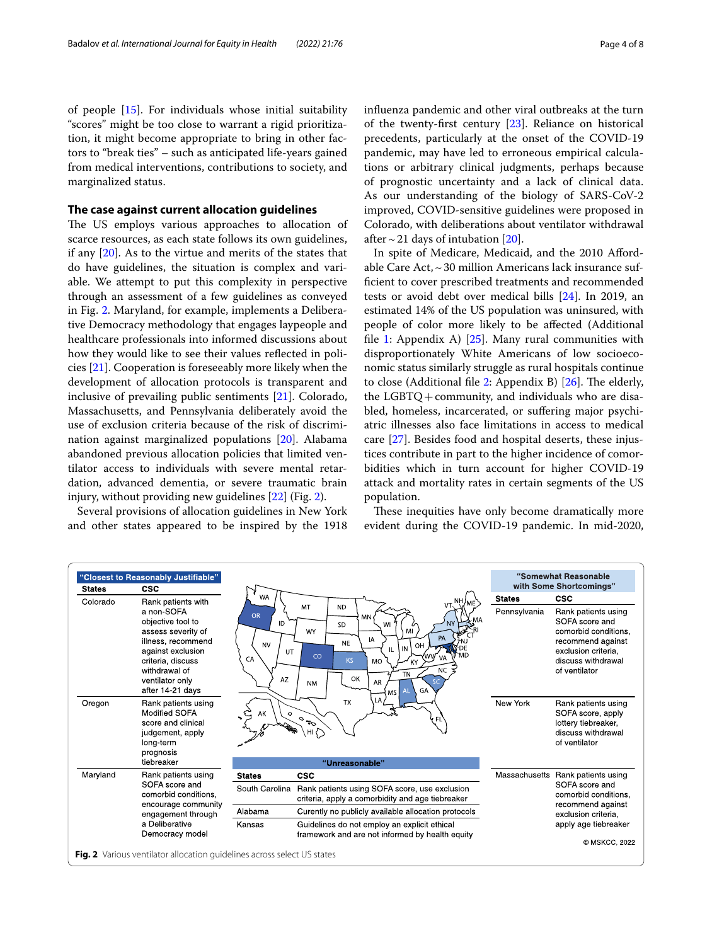of people [\[15](#page-6-13)]. For individuals whose initial suitability "scores" might be too close to warrant a rigid prioritization, it might become appropriate to bring in other factors to "break ties" – such as anticipated life-years gained from medical interventions, contributions to society, and marginalized status.

## **The case against current allocation guidelines**

The US employs various approaches to allocation of scarce resources, as each state follows its own guidelines, if any [[20\]](#page-6-18). As to the virtue and merits of the states that do have guidelines, the situation is complex and variable. We attempt to put this complexity in perspective through an assessment of a few guidelines as conveyed in Fig. [2](#page-3-0). Maryland, for example, implements a Deliberative Democracy methodology that engages laypeople and healthcare professionals into informed discussions about how they would like to see their values refected in policies [[21](#page-6-19)]. Cooperation is foreseeably more likely when the development of allocation protocols is transparent and inclusive of prevailing public sentiments [\[21](#page-6-19)]. Colorado, Massachusetts, and Pennsylvania deliberately avoid the use of exclusion criteria because of the risk of discrimination against marginalized populations [[20](#page-6-18)]. Alabama abandoned previous allocation policies that limited ventilator access to individuals with severe mental retardation, advanced dementia, or severe traumatic brain injury, without providing new guidelines [\[22](#page-6-20)] (Fig. [2\)](#page-3-0).

Several provisions of allocation guidelines in New York and other states appeared to be inspired by the 1918 infuenza pandemic and other viral outbreaks at the turn of the twenty-frst century [\[23](#page-6-21)]. Reliance on historical precedents, particularly at the onset of the COVID-19 pandemic, may have led to erroneous empirical calculations or arbitrary clinical judgments, perhaps because of prognostic uncertainty and a lack of clinical data. As our understanding of the biology of SARS-CoV-2 improved, COVID-sensitive guidelines were proposed in Colorado, with deliberations about ventilator withdrawal after  $\sim$  21 days of intubation [\[20\]](#page-6-18).

In spite of Medicare, Medicaid, and the 2010 Afordable Care Act,  $\sim$  30 million Americans lack insurance suffcient to cover prescribed treatments and recommended tests or avoid debt over medical bills [[24](#page-6-22)]. In 2019, an estimated 14% of the US population was uninsured, with people of color more likely to be afected (Additional file [1:](#page-5-0) Appendix A)  $[25]$  $[25]$ . Many rural communities with disproportionately White Americans of low socioeconomic status similarly struggle as rural hospitals continue to close (Additional file [2](#page-5-1): Appendix B)  $[26]$  $[26]$ . The elderly, the  $LGBTQ + community$ , and individuals who are disabled, homeless, incarcerated, or sufering major psychiatric illnesses also face limitations in access to medical care [\[27\]](#page-6-25). Besides food and hospital deserts, these injustices contribute in part to the higher incidence of comorbidities which in turn account for higher COVID-19 attack and mortality rates in certain segments of the US population.

These inequities have only become dramatically more evident during the COVID-19 pandemic. In mid-2020,

<span id="page-3-0"></span>

| "Closest to Reasonably Justifiable"<br><b>CSC</b><br><b>States</b> |                                                                                                                                                                               |                                                                                       | "Somewhat Reasonable<br>with Some Shortcomings"                                                                                                                                                                                                 |               |                                                                                                                                                  |
|--------------------------------------------------------------------|-------------------------------------------------------------------------------------------------------------------------------------------------------------------------------|---------------------------------------------------------------------------------------|-------------------------------------------------------------------------------------------------------------------------------------------------------------------------------------------------------------------------------------------------|---------------|--------------------------------------------------------------------------------------------------------------------------------------------------|
| Colorado                                                           | Rank patients with                                                                                                                                                            | <b>WA</b>                                                                             | $VT$ , $NH$ ,                                                                                                                                                                                                                                   | <b>States</b> | <b>CSC</b>                                                                                                                                       |
|                                                                    | a non-SOFA<br>objective tool to<br>assess severity of<br>illness, recommend<br>against exclusion<br>criteria, discuss<br>withdrawal of<br>ventilator only<br>after 14-21 days | <b>OR</b><br>ID<br><b>NV</b><br>UT<br>CA<br>AZ                                        | MT<br><b>ND</b><br><b>MN</b><br><b>MA</b><br>WI<br><b>SD</b><br>MI<br>WY<br>PA<br>IA<br><b>NE</b><br>OH<br>-DF<br>IN<br>`MD<br>CO<br><b>VA</b><br><b>KS</b><br><b>MO</b><br><b>NC</b><br><b>TN</b><br>OK<br>AR<br><b>NM</b><br>GA<br>AI<br>ms l | Pennsylvania  | Rank patients using<br>SOFA score and<br>comorbid conditions.<br>recommend against<br>exclusion criteria.<br>discuss withdrawal<br>of ventilator |
| Oregon                                                             | Rank patients using<br><b>Modified SOFA</b><br>score and clinical<br>judgement, apply<br>long-term<br>prognosis                                                               | LA<br><b>TX</b><br>AK<br>$\circ$<br>$\mathcal{O}_{\overline{\sigma}^{\bullet}}$<br>FL |                                                                                                                                                                                                                                                 | New York      | Rank patients using<br>SOFA score, apply<br>lottery tiebreaker,<br>discuss withdrawal<br>of ventilator                                           |
|                                                                    | tiebreaker                                                                                                                                                                    |                                                                                       | "Unreasonable"                                                                                                                                                                                                                                  |               |                                                                                                                                                  |
| Maryland                                                           | Rank patients using                                                                                                                                                           | <b>States</b>                                                                         | <b>CSC</b>                                                                                                                                                                                                                                      | Massachusetts | Rank patients using                                                                                                                              |
|                                                                    | SOFA score and<br>comorbid conditions,<br>encourage community<br>engagement through<br>a Deliberative<br>Democracy model                                                      | South Carolina                                                                        | Rank patients using SOFA score, use exclusion<br>criteria, apply a comorbidity and age tiebreaker                                                                                                                                               |               | SOFA score and<br>comorbid conditions.<br>recommend against                                                                                      |
|                                                                    |                                                                                                                                                                               | Alabama                                                                               | Curently no publicly available allocation protocols                                                                                                                                                                                             |               | exclusion criteria.<br>apply age tiebreaker<br>© MSKCC, 2022                                                                                     |
|                                                                    |                                                                                                                                                                               | Kansas                                                                                | Guidelines do not employ an explicit ethical<br>framework and are not informed by health equity                                                                                                                                                 |               |                                                                                                                                                  |
|                                                                    | Fig. 2 Various ventilator allocation quidelines across select US states                                                                                                       |                                                                                       |                                                                                                                                                                                                                                                 |               |                                                                                                                                                  |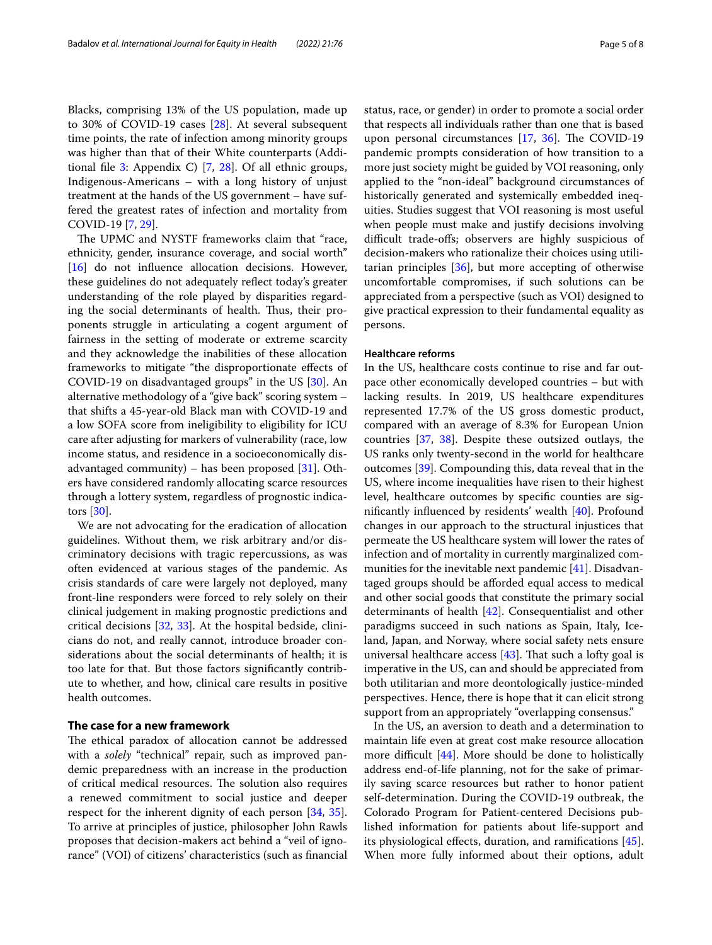Blacks, comprising 13% of the US population, made up to 30% of COVID-19 cases [\[28\]](#page-7-0). At several subsequent time points, the rate of infection among minority groups was higher than that of their White counterparts (Additional file  $3$ : Appendix C) [\[7](#page-6-5), [28](#page-7-0)]. Of all ethnic groups, Indigenous-Americans – with a long history of unjust treatment at the hands of the US government – have suffered the greatest rates of infection and mortality from COVID-19 [[7](#page-6-5), [29\]](#page-7-1).

The UPMC and NYSTF frameworks claim that "race, ethnicity, gender, insurance coverage, and social worth" [[16\]](#page-6-14) do not influence allocation decisions. However, these guidelines do not adequately refect today's greater understanding of the role played by disparities regarding the social determinants of health. Thus, their proponents struggle in articulating a cogent argument of fairness in the setting of moderate or extreme scarcity and they acknowledge the inabilities of these allocation frameworks to mitigate "the disproportionate efects of COVID-19 on disadvantaged groups" in the US [[30\]](#page-7-2). An alternative methodology of a "give back" scoring system – that shifts a 45-year-old Black man with COVID-19 and a low SOFA score from ineligibility to eligibility for ICU care after adjusting for markers of vulnerability (race, low income status, and residence in a socioeconomically disadvantaged community) – has been proposed  $[31]$  $[31]$ . Others have considered randomly allocating scarce resources through a lottery system, regardless of prognostic indicators [\[30\]](#page-7-2).

We are not advocating for the eradication of allocation guidelines. Without them, we risk arbitrary and/or discriminatory decisions with tragic repercussions, as was often evidenced at various stages of the pandemic. As crisis standards of care were largely not deployed, many front-line responders were forced to rely solely on their clinical judgement in making prognostic predictions and critical decisions [[32,](#page-7-4) [33\]](#page-7-5). At the hospital bedside, clinicians do not, and really cannot, introduce broader considerations about the social determinants of health; it is too late for that. But those factors signifcantly contribute to whether, and how, clinical care results in positive health outcomes.

## **The case for a new framework**

The ethical paradox of allocation cannot be addressed with a *solely* "technical" repair, such as improved pandemic preparedness with an increase in the production of critical medical resources. The solution also requires a renewed commitment to social justice and deeper respect for the inherent dignity of each person [[34,](#page-7-6) [35](#page-7-7)]. To arrive at principles of justice, philosopher John Rawls proposes that decision-makers act behind a "veil of ignorance" (VOI) of citizens' characteristics (such as fnancial status, race, or gender) in order to promote a social order that respects all individuals rather than one that is based upon personal circumstances  $[17, 36]$  $[17, 36]$  $[17, 36]$  $[17, 36]$  $[17, 36]$ . The COVID-19 pandemic prompts consideration of how transition to a more just society might be guided by VOI reasoning, only applied to the "non-ideal" background circumstances of historically generated and systemically embedded inequities. Studies suggest that VOI reasoning is most useful when people must make and justify decisions involving difficult trade-offs; observers are highly suspicious of decision-makers who rationalize their choices using utilitarian principles [[36](#page-7-8)], but more accepting of otherwise uncomfortable compromises, if such solutions can be appreciated from a perspective (such as VOI) designed to give practical expression to their fundamental equality as persons.

## **Healthcare reforms**

In the US, healthcare costs continue to rise and far outpace other economically developed countries – but with lacking results. In 2019, US healthcare expenditures represented 17.7% of the US gross domestic product, compared with an average of 8.3% for European Union countries [[37,](#page-7-9) [38\]](#page-7-10). Despite these outsized outlays, the US ranks only twenty-second in the world for healthcare outcomes [\[39\]](#page-7-11). Compounding this, data reveal that in the US, where income inequalities have risen to their highest level, healthcare outcomes by specifc counties are signifcantly infuenced by residents' wealth [\[40](#page-7-12)]. Profound changes in our approach to the structural injustices that permeate the US healthcare system will lower the rates of infection and of mortality in currently marginalized communities for the inevitable next pandemic [[41](#page-7-13)]. Disadvantaged groups should be aforded equal access to medical and other social goods that constitute the primary social determinants of health [[42\]](#page-7-14). Consequentialist and other paradigms succeed in such nations as Spain, Italy, Iceland, Japan, and Norway, where social safety nets ensure universal healthcare access  $[43]$  $[43]$ . That such a lofty goal is imperative in the US, can and should be appreciated from both utilitarian and more deontologically justice-minded perspectives. Hence, there is hope that it can elicit strong support from an appropriately "overlapping consensus."

In the US, an aversion to death and a determination to maintain life even at great cost make resource allocation more difficult  $[44]$  $[44]$  $[44]$ . More should be done to holistically address end-of-life planning, not for the sake of primarily saving scarce resources but rather to honor patient self-determination. During the COVID-19 outbreak, the Colorado Program for Patient-centered Decisions published information for patients about life-support and its physiological efects, duration, and ramifcations [\[45](#page-7-17)]. When more fully informed about their options, adult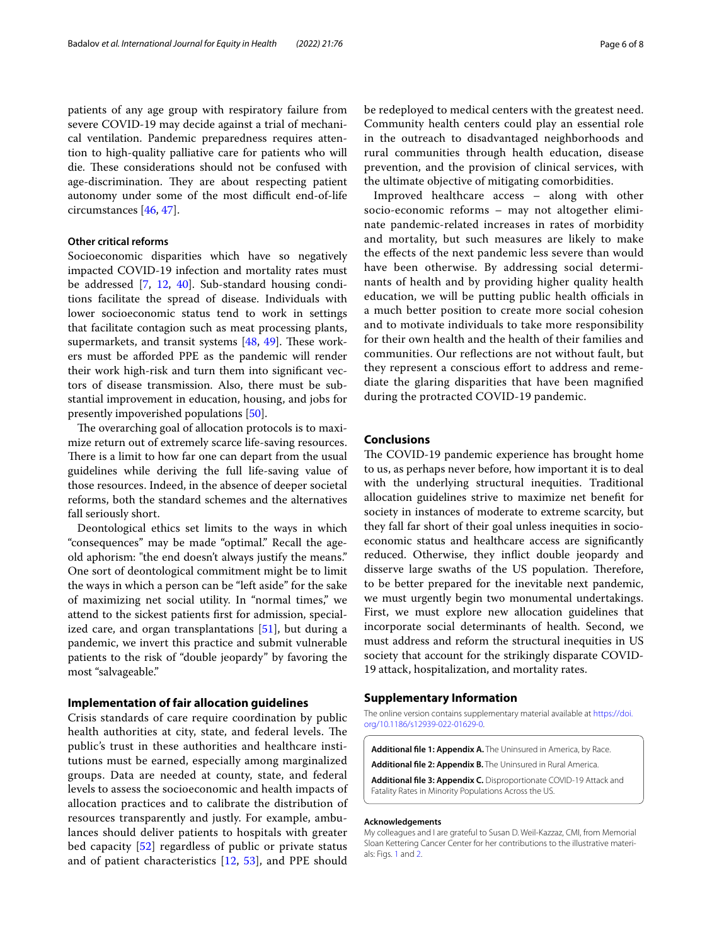patients of any age group with respiratory failure from severe COVID-19 may decide against a trial of mechanical ventilation. Pandemic preparedness requires attention to high-quality palliative care for patients who will die. These considerations should not be confused with age-discrimination. They are about respecting patient autonomy under some of the most difficult end-of-life circumstances [[46,](#page-7-18) [47\]](#page-7-19).

#### **Other critical reforms**

Socioeconomic disparities which have so negatively impacted COVID-19 infection and mortality rates must be addressed [\[7](#page-6-5), [12,](#page-6-10) [40\]](#page-7-12). Sub-standard housing conditions facilitate the spread of disease. Individuals with lower socioeconomic status tend to work in settings that facilitate contagion such as meat processing plants, supermarkets, and transit systems  $[48, 49]$  $[48, 49]$  $[48, 49]$ . These workers must be aforded PPE as the pandemic will render their work high-risk and turn them into signifcant vectors of disease transmission. Also, there must be substantial improvement in education, housing, and jobs for presently impoverished populations [\[50](#page-7-22)].

The overarching goal of allocation protocols is to maximize return out of extremely scarce life-saving resources. There is a limit to how far one can depart from the usual guidelines while deriving the full life-saving value of those resources. Indeed, in the absence of deeper societal reforms, both the standard schemes and the alternatives fall seriously short.

Deontological ethics set limits to the ways in which "consequences" may be made "optimal." Recall the ageold aphorism: "the end doesn't always justify the means." One sort of deontological commitment might be to limit the ways in which a person can be "left aside" for the sake of maximizing net social utility. In "normal times," we attend to the sickest patients frst for admission, specialized care, and organ transplantations [\[51\]](#page-7-23), but during a pandemic, we invert this practice and submit vulnerable patients to the risk of "double jeopardy" by favoring the most "salvageable."

## **Implementation of fair allocation guidelines**

Crisis standards of care require coordination by public health authorities at city, state, and federal levels. The public's trust in these authorities and healthcare institutions must be earned, especially among marginalized groups. Data are needed at county, state, and federal levels to assess the socioeconomic and health impacts of allocation practices and to calibrate the distribution of resources transparently and justly. For example, ambulances should deliver patients to hospitals with greater bed capacity [[52\]](#page-7-24) regardless of public or private status and of patient characteristics [[12,](#page-6-10) [53\]](#page-7-25), and PPE should be redeployed to medical centers with the greatest need. Community health centers could play an essential role in the outreach to disadvantaged neighborhoods and rural communities through health education, disease prevention, and the provision of clinical services, with the ultimate objective of mitigating comorbidities.

Improved healthcare access – along with other socio-economic reforms – may not altogether eliminate pandemic-related increases in rates of morbidity and mortality, but such measures are likely to make the efects of the next pandemic less severe than would have been otherwise. By addressing social determinants of health and by providing higher quality health education, we will be putting public health officials in a much better position to create more social cohesion and to motivate individuals to take more responsibility for their own health and the health of their families and communities. Our refections are not without fault, but they represent a conscious efort to address and remediate the glaring disparities that have been magnifed during the protracted COVID-19 pandemic.

## **Conclusions**

The COVID-19 pandemic experience has brought home to us, as perhaps never before, how important it is to deal with the underlying structural inequities. Traditional allocation guidelines strive to maximize net beneft for society in instances of moderate to extreme scarcity, but they fall far short of their goal unless inequities in socioeconomic status and healthcare access are signifcantly reduced. Otherwise, they infict double jeopardy and disserve large swaths of the US population. Therefore, to be better prepared for the inevitable next pandemic, we must urgently begin two monumental undertakings. First, we must explore new allocation guidelines that incorporate social determinants of health. Second, we must address and reform the structural inequities in US society that account for the strikingly disparate COVID-19 attack, hospitalization, and mortality rates.

## **Supplementary Information**

The online version contains supplementary material available at [https://doi.](https://doi.org/10.1186/s12939-022-01629-0) [org/10.1186/s12939-022-01629-0](https://doi.org/10.1186/s12939-022-01629-0).

<span id="page-5-2"></span><span id="page-5-1"></span><span id="page-5-0"></span>**Additional fle 1: Appendix A.** The Uninsured in America, by Race. **Additional fle 2: Appendix B.** The Uninsured in Rural America. **Additional fle 3: Appendix C.** Disproportionate COVID-19 Attack and Fatality Rates in Minority Populations Across the US.

#### **Acknowledgements**

My colleagues and I are grateful to Susan D. Weil-Kazzaz, CMI, from Memorial Sloan Kettering Cancer Center for her contributions to the illustrative materials: Figs. [1](#page-2-0) and [2](#page-3-0).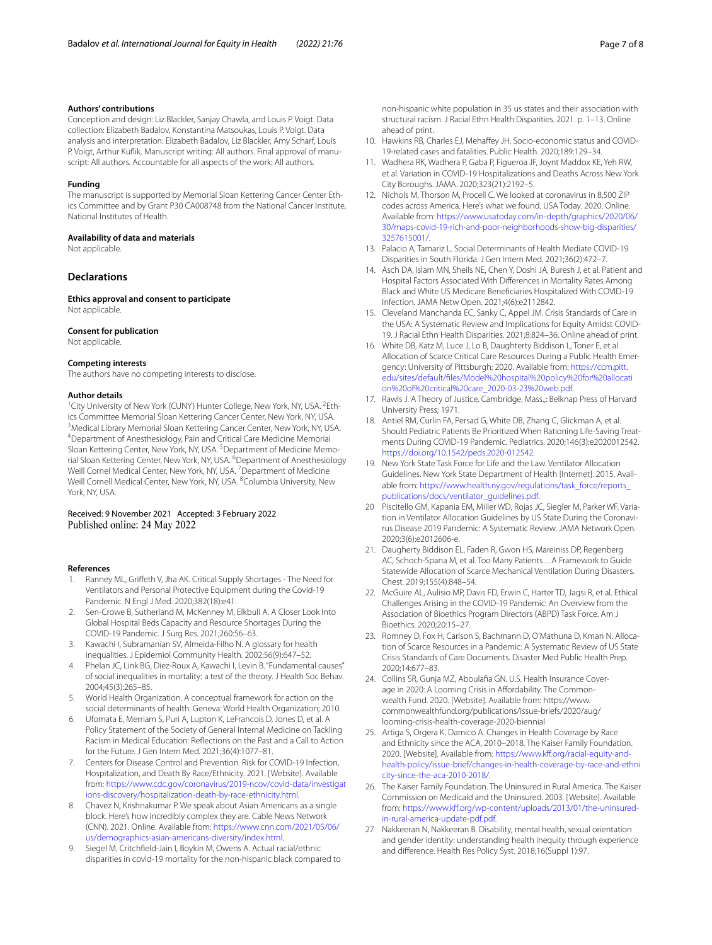#### **Authors' contributions**

Conception and design: Liz Blackler, Sanjay Chawla, and Louis P. Voigt. Data collection: Elizabeth Badalov, Konstantina Matsoukas, Louis P. Voigt. Data analysis and interpretation: Elizabeth Badalov, Liz Blackler, Amy Scharf, Louis P. Voigt, Arthur Kufik. Manuscript writing: All authors. Final approval of manuscript: All authors. Accountable for all aspects of the work: All authors.

#### **Funding**

The manuscript is supported by Memorial Sloan Kettering Cancer Center Ethics Committee and by Grant P30 CA008748 from the National Cancer Institute, National Institutes of Health.

#### **Availability of data and materials**

Not applicable.

#### **Declarations**

**Ethics approval and consent to participate** Not applicable.

#### **Consent for publication**

Not applicable.

#### **Competing interests**

The authors have no competing interests to disclose.

#### **Author details**

<sup>1</sup> City University of New York (CUNY) Hunter College, New York, NY, USA. <sup>2</sup> Ethics Committee Memorial Sloan Kettering Cancer Center, New York, NY, USA. <sup>3</sup>Medical Library Memorial Sloan Kettering Cancer Center, New York, NY, USA. 4 Department of Anesthesiology, Pain and Critical Care Medicine Memorial Sloan Kettering Center, New York, NY, USA. <sup>5</sup> Department of Medicine Memorial Sloan Kettering Center, New York, NY, USA. <sup>6</sup>Department of Anesthesiology Weill Cornel Medical Center, New York, NY, USA. <sup>7</sup> Department of Medicine Weill Cornell Medical Center, New York, NY, USA. <sup>8</sup>Columbia University, New York, NY, USA.

## Received: 9 November 2021 Accepted: 3 February 2022 Published online: 24 May 2022

#### **References**

- <span id="page-6-0"></span>1. Ranney ML, Grifeth V, Jha AK. Critical Supply Shortages - The Need for Ventilators and Personal Protective Equipment during the Covid-19 Pandemic. N Engl J Med. 2020;382(18):e41.
- <span id="page-6-1"></span>2. Sen-Crowe B, Sutherland M, McKenney M, Elkbuli A. A Closer Look Into Global Hospital Beds Capacity and Resource Shortages During the COVID-19 Pandemic. J Surg Res. 2021;260:56–63.
- <span id="page-6-2"></span>3. Kawachi I, Subramanian SV, Almeida-Filho N. A glossary for health inequalities. J Epidemiol Community Health. 2002;56(9):647–52.
- 4. Phelan JC, Link BG, Diez-Roux A, Kawachi I, Levin B. "Fundamental causes" of social inequalities in mortality: a test of the theory. J Health Soc Behav. 2004;45(3):265–85.
- <span id="page-6-3"></span>5. World Health Organization. A conceptual framework for action on the social determinants of health. Geneva: World Health Organization; 2010.
- <span id="page-6-4"></span>6. Ufomata E, Merriam S, Puri A, Lupton K, LeFrancois D, Jones D, et al. A Policy Statement of the Society of General Internal Medicine on Tackling Racism in Medical Education: Refections on the Past and a Call to Action for the Future. J Gen Intern Med. 2021;36(4):1077–81.
- <span id="page-6-5"></span>7. Centers for Disease Control and Prevention. Risk for COVID-19 Infection, Hospitalization, and Death By Race/Ethnicity. 2021. [Website]. Available from: [https://www.cdc.gov/coronavirus/2019-ncov/covid-data/investigat](https://www.cdc.gov/coronavirus/2019-ncov/covid-data/investigations-discovery/hospitalization-death-by-race-ethnicity.html) [ions-discovery/hospitalization-death-by-race-ethnicity.html](https://www.cdc.gov/coronavirus/2019-ncov/covid-data/investigations-discovery/hospitalization-death-by-race-ethnicity.html).
- <span id="page-6-6"></span>8. Chavez N, Krishnakumar P. We speak about Asian Americans as a single block. Here's how incredibly complex they are. Cable News Network (CNN). 2021. Online. Available from: [https://www.cnn.com/2021/05/06/](https://www.cnn.com/2021/05/06/us/demographics-asian-americans-diversity/index.html) [us/demographics-asian-americans-diversity/index.html](https://www.cnn.com/2021/05/06/us/demographics-asian-americans-diversity/index.html).
- <span id="page-6-7"></span>9. Siegel M, Critchfeld-Jain I, Boykin M, Owens A. Actual racial/ethnic disparities in covid-19 mortality for the non-hispanic black compared to
- <span id="page-6-8"></span>10. Hawkins RB, Charles EJ, Mehafey JH. Socio-economic status and COVID-19-related cases and fatalities. Public Health. 2020;189:129–34.
- <span id="page-6-9"></span>11. Wadhera RK, Wadhera P, Gaba P, Figueroa JF, Joynt Maddox KE, Yeh RW, et al. Variation in COVID-19 Hospitalizations and Deaths Across New York City Boroughs. JAMA. 2020;323(21):2192–5.
- <span id="page-6-10"></span>12. Nichols M, Thorson M, Procell C. We looked at coronavirus in 8,500 ZIP codes across America. Here's what we found. USA Today. 2020. Online. Available from: [https://www.usatoday.com/in-depth/graphics/2020/06/](https://www.usatoday.com/in-depth/graphics/2020/06/30/maps-covid-19-rich-and-poor-neighborhoods-show-big-disparities/3257615001/) [30/maps-covid-19-rich-and-poor-neighborhoods-show-big-disparities/](https://www.usatoday.com/in-depth/graphics/2020/06/30/maps-covid-19-rich-and-poor-neighborhoods-show-big-disparities/3257615001/) [3257615001/.](https://www.usatoday.com/in-depth/graphics/2020/06/30/maps-covid-19-rich-and-poor-neighborhoods-show-big-disparities/3257615001/)
- <span id="page-6-11"></span>13. Palacio A, Tamariz L. Social Determinants of Health Mediate COVID-19 Disparities in South Florida. J Gen Intern Med. 2021;36(2):472–7.
- <span id="page-6-12"></span>14. Asch DA, Islam MN, Sheils NE, Chen Y, Doshi JA, Buresh J, et al. Patient and Hospital Factors Associated With Diferences in Mortality Rates Among Black and White US Medicare Benefciaries Hospitalized With COVID-19 Infection. JAMA Netw Open. 2021;4(6):e2112842.
- <span id="page-6-13"></span>15. Cleveland Manchanda EC, Sanky C, Appel JM. Crisis Standards of Care in the USA: A Systematic Review and Implications for Equity Amidst COVID-19. J Racial Ethn Health Disparities. 2021;8:824–36. Online ahead of print.
- <span id="page-6-14"></span>16. White DB, Katz M, Luce J, Lo B, Daughterty Biddison L, Toner E, et al. Allocation of Scarce Critical Care Resources During a Public Health Emergency: University of Pittsburgh; 2020. Available from: [https://ccm.pitt.](https://ccm.pitt.edu/sites/default/files/Model%20hospital%20policy%20for%20allocation%20of%20critical%20care_2020-03-23%20web.pdf) [edu/sites/default/fles/Model%20hospital%20policy%20for%20allocati](https://ccm.pitt.edu/sites/default/files/Model%20hospital%20policy%20for%20allocation%20of%20critical%20care_2020-03-23%20web.pdf) [on%20of%20critical%20care\\_2020-03-23%20web.pdf.](https://ccm.pitt.edu/sites/default/files/Model%20hospital%20policy%20for%20allocation%20of%20critical%20care_2020-03-23%20web.pdf)
- <span id="page-6-15"></span>17. Rawls J. A Theory of Justice. Cambridge, Mass.,: Belknap Press of Harvard University Press; 1971.
- <span id="page-6-16"></span>18. Antiel RM, Curlin FA, Persad G, White DB, Zhang C, Glickman A, et al. Should Pediatric Patients Be Prioritized When Rationing Life-Saving Treatments During COVID-19 Pandemic. Pediatrics. 2020;146(3):e2020012542. <https://doi.org/10.1542/peds.2020-012542>.
- <span id="page-6-17"></span>19. New York State Task Force for Life and the Law. Ventilator Allocation Guidelines. New York State Department of Health [Internet]. 2015. Available from: https://www.health.ny.gov/regulations/task\_force/reports [publications/docs/ventilator\\_guidelines.pdf](https://www.health.ny.gov/regulations/task_force/reports_publications/docs/ventilator_guidelines.pdf).
- <span id="page-6-18"></span>20 Piscitello GM, Kapania EM, Miller WD, Rojas JC, Siegler M, Parker WF. Variation in Ventilator Allocation Guidelines by US State During the Coronavirus Disease 2019 Pandemic: A Systematic Review. JAMA Network Open. 2020;3(6):e2012606-e.
- <span id="page-6-19"></span>21. Daugherty Biddison EL, Faden R, Gwon HS, Mareiniss DP, Regenberg AC, Schoch-Spana M, et al. Too Many Patients…A Framework to Guide Statewide Allocation of Scarce Mechanical Ventilation During Disasters. Chest. 2019;155(4):848–54.
- <span id="page-6-20"></span>22. McGuire AL, Aulisio MP, Davis FD, Erwin C, Harter TD, Jagsi R, et al. Ethical Challenges Arising in the COVID-19 Pandemic: An Overview from the Association of Bioethics Program Directors (ABPD) Task Force. Am J Bioethics. 2020;20:15–27.
- <span id="page-6-21"></span>23. Romney D, Fox H, Carlson S, Bachmann D, O'Mathuna D, Kman N. Allocation of Scarce Resources in a Pandemic: A Systematic Review of US State Crisis Standards of Care Documents. Disaster Med Public Health Prep. 2020;14:677–83.
- <span id="page-6-22"></span>24. Collins SR, Gunja MZ, Aboulafa GN. U.S. Health Insurance Coverage in 2020: A Looming Crisis in Affordability. The Commonwealth Fund. 2020. [Website]. Available from: https://www. commonwealthfund.org/publications/issue-briefs/2020/aug/ looming-crisis-health-coverage-2020-biennial
- <span id="page-6-23"></span>25. Artiga S, Orgera K, Damico A. Changes in Health Coverage by Race and Ethnicity since the ACA, 2010–2018. The Kaiser Family Foundation. 2020. [Website]. Available from: [https://www.kf.org/racial-equity-and](https://www.kff.org/racial-equity-and-health-policy/issue-brief/changes-in-health-coverage-by-race-and-ethnicity-since-the-aca-2010-2018/)[health-policy/issue-brief/changes-in-health-coverage-by-race-and-ethni](https://www.kff.org/racial-equity-and-health-policy/issue-brief/changes-in-health-coverage-by-race-and-ethnicity-since-the-aca-2010-2018/) [city-since-the-aca-2010-2018/](https://www.kff.org/racial-equity-and-health-policy/issue-brief/changes-in-health-coverage-by-race-and-ethnicity-since-the-aca-2010-2018/).
- <span id="page-6-24"></span>26. The Kaiser Family Foundation. The Uninsured in Rural America. The Kaiser Commission on Medicaid and the Uninsured. 2003. [Website]. Available from: [https://www.kf.org/wp-content/uploads/2013/01/the-uninsured](https://www.kff.org/wp-content/uploads/2013/01/the-uninsured-in-rural-america-update-pdf.pdf)[in-rural-america-update-pdf.pdf](https://www.kff.org/wp-content/uploads/2013/01/the-uninsured-in-rural-america-update-pdf.pdf).
- <span id="page-6-25"></span>27 Nakkeeran N, Nakkeeran B. Disability, mental health, sexual orientation and gender identity: understanding health inequity through experience and diference. Health Res Policy Syst. 2018;16(Suppl 1):97.